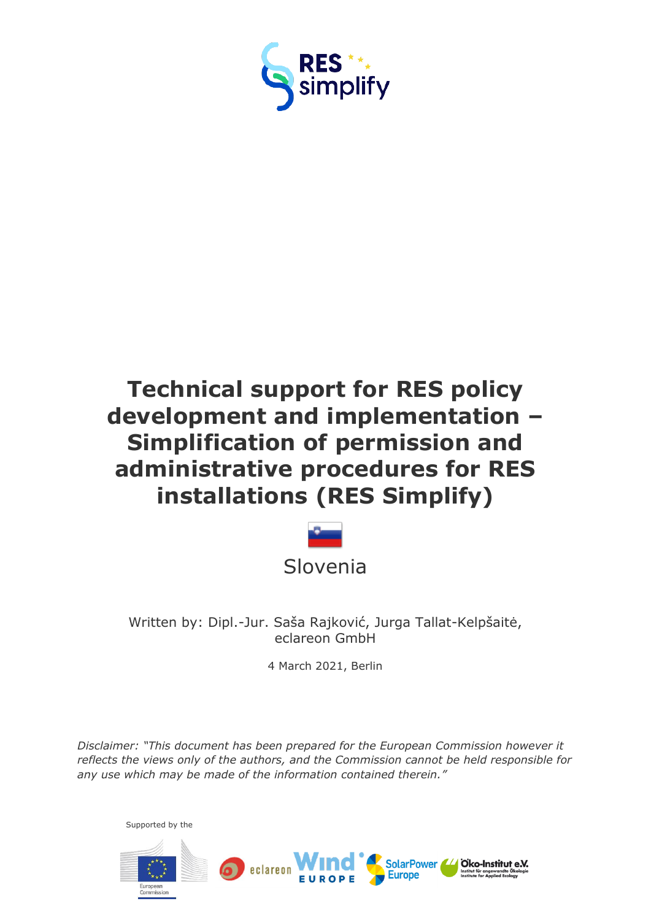

# **Technical support for RES policy development and implementation – Simplification of permission and administrative procedures for RES installations (RES Simplify)**



Written by: Dipl.-Jur. Saša Rajković, Jurga Tallat-Kelpšaitė, eclareon GmbH

4 March 2021, Berlin

*Disclaimer: "This document has been prepared for the European Commission however it reflects the views only of the authors, and the Commission cannot be held responsible for any use which may be made of the information contained therein."*

Supported by theÖko-Institut e.V. SolarPower eclareon **Europe**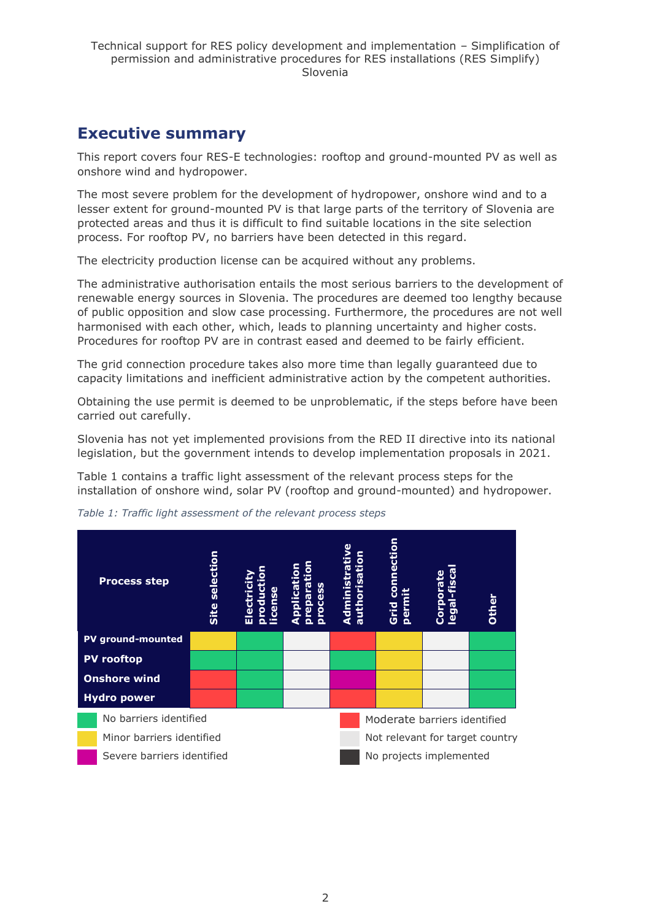## <span id="page-1-0"></span>**Executive summary**

This report covers four RES-E technologies: rooftop and ground-mounted PV as well as onshore wind and hydropower.

The most severe problem for the development of hydropower, onshore wind and to a lesser extent for ground-mounted PV is that large parts of the territory of Slovenia are protected areas and thus it is difficult to find suitable locations in the site selection process. For rooftop PV, no barriers have been detected in this regard.

The electricity production license can be acquired without any problems.

The administrative authorisation entails the most serious barriers to the development of renewable energy sources in Slovenia. The procedures are deemed too lengthy because of public opposition and slow case processing. Furthermore, the procedures are not well harmonised with each other, which, leads to planning uncertainty and higher costs. Procedures for rooftop PV are in contrast eased and deemed to be fairly efficient.

The grid connection procedure takes also more time than legally guaranteed due to capacity limitations and inefficient administrative action by the competent authorities.

Obtaining the use permit is deemed to be unproblematic, if the steps before have been carried out carefully.

Slovenia has not yet implemented provisions from the RED II directive into its national legislation, but the government intends to develop implementation proposals in 2021.

Table 1 contains a traffic light assessment of the relevant process steps for the installation of onshore wind, solar PV (rooftop and ground-mounted) and hydropower.



*Table 1: Traffic light assessment of the relevant process steps*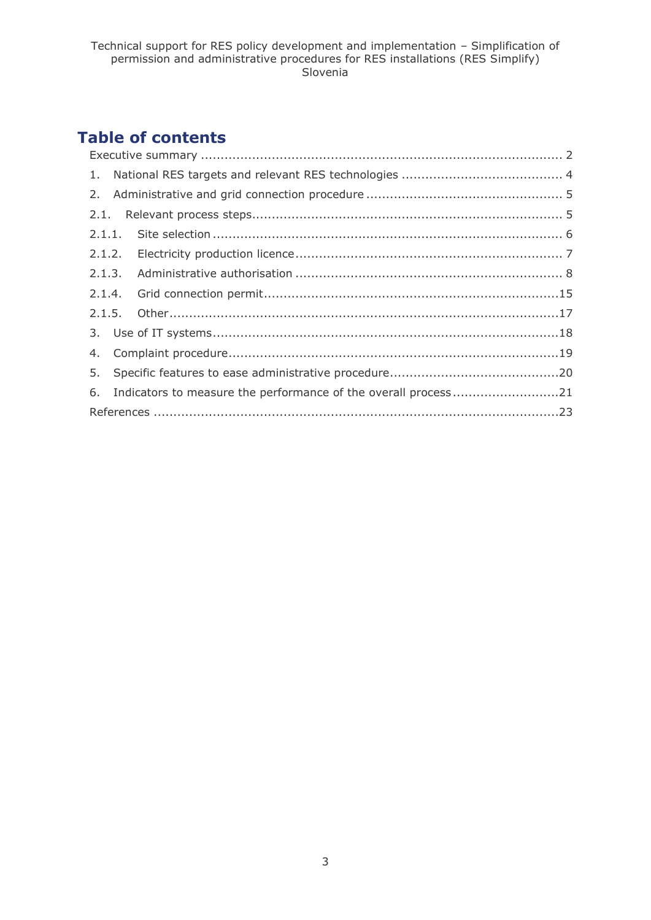## **Table of contents**

|  | 6. Indicators to measure the performance of the overall process21 |  |  |  |  |  |  |
|--|-------------------------------------------------------------------|--|--|--|--|--|--|
|  |                                                                   |  |  |  |  |  |  |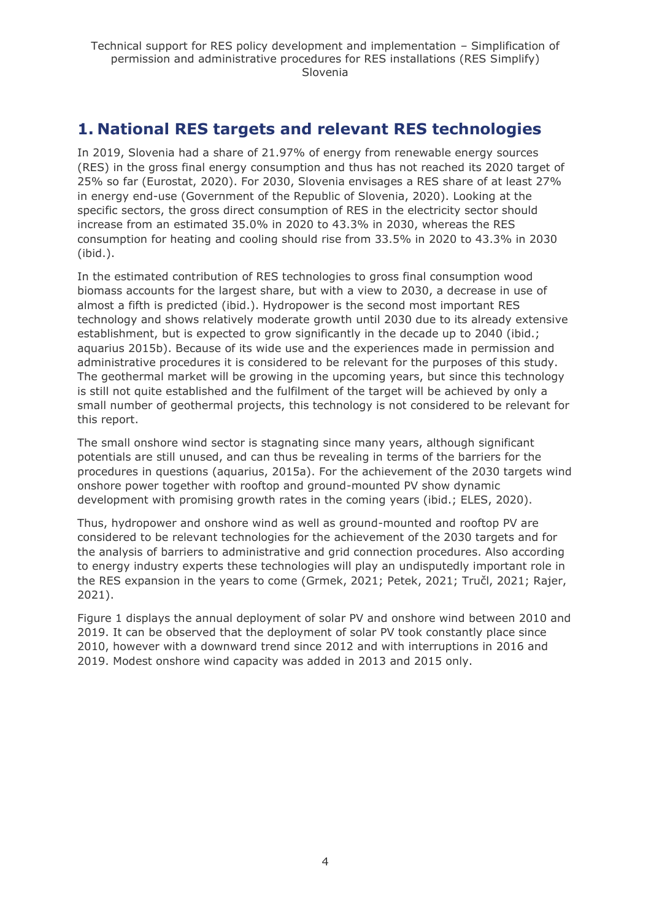## <span id="page-3-0"></span>**1. National RES targets and relevant RES technologies**

In 2019, Slovenia had a share of 21.97% of energy from renewable energy sources (RES) in the gross final energy consumption and thus has not reached its 2020 target of 25% so far (Eurostat, 2020). For 2030, Slovenia envisages a RES share of at least 27% in energy end-use (Government of the Republic of Slovenia, 2020). Looking at the specific sectors, the gross direct consumption of RES in the electricity sector should increase from an estimated 35.0% in 2020 to 43.3% in 2030, whereas the RES consumption for heating and cooling should rise from 33.5% in 2020 to 43.3% in 2030 (ibid.).

In the estimated contribution of RES technologies to gross final consumption wood biomass accounts for the largest share, but with a view to 2030, a decrease in use of almost a fifth is predicted (ibid.). Hydropower is the second most important RES technology and shows relatively moderate growth until 2030 due to its already extensive establishment, but is expected to grow significantly in the decade up to 2040 (ibid.; aquarius 2015b). Because of its wide use and the experiences made in permission and administrative procedures it is considered to be relevant for the purposes of this study. The geothermal market will be growing in the upcoming years, but since this technology is still not quite established and the fulfilment of the target will be achieved by only a small number of geothermal projects, this technology is not considered to be relevant for this report.

The small onshore wind sector is stagnating since many years, although significant potentials are still unused, and can thus be revealing in terms of the barriers for the procedures in questions (aquarius, 2015a). For the achievement of the 2030 targets wind onshore power together with rooftop and ground-mounted PV show dynamic development with promising growth rates in the coming years (ibid.; ELES, 2020).

Thus, hydropower and onshore wind as well as ground-mounted and rooftop PV are considered to be relevant technologies for the achievement of the 2030 targets and for the analysis of barriers to administrative and grid connection procedures. Also according to energy industry experts these technologies will play an undisputedly important role in the RES expansion in the years to come (Grmek, 2021; Petek, 2021; Tručl, 2021; Rajer, 2021).

Figure 1 displays the annual deployment of solar PV and onshore wind between 2010 and 2019. It can be observed that the deployment of solar PV took constantly place since 2010, however with a downward trend since 2012 and with interruptions in 2016 and 2019. Modest onshore wind capacity was added in 2013 and 2015 only.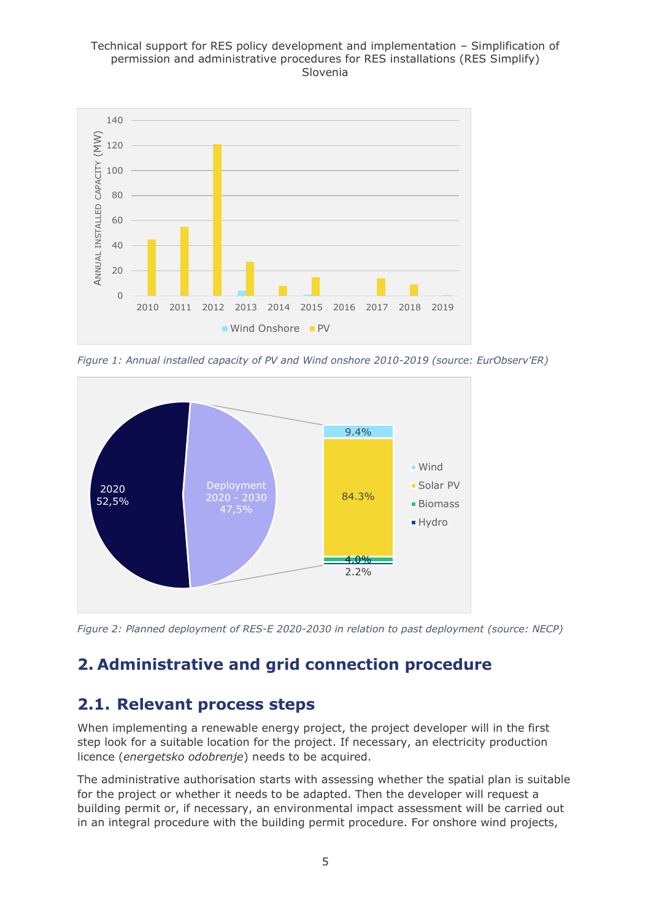#### Technical support for RES policy development and implementation – Simplification of permission and administrative procedures for RES installations (RES Simplify) Slovenia



*Figure 1: Annual installed capacity of PV and Wind onshore 2010-2019 (source: EurObserv'ER)*



*Figure 2: Planned deployment of RES-E 2020-2030 in relation to past deployment (source: NECP)*

## <span id="page-4-0"></span>**2. Administrative and grid connection procedure**

## <span id="page-4-1"></span>**2.1. Relevant process steps**

When implementing a renewable energy project, the project developer will in the first step look for a suitable location for the project. If necessary, an electricity production licence (*energetsko odobrenje*) needs to be acquired.

The administrative authorisation starts with assessing whether the spatial plan is suitable for the project or whether it needs to be adapted. Then the developer will request a building permit or, if necessary, an environmental impact assessment will be carried out in an integral procedure with the building permit procedure. For onshore wind projects,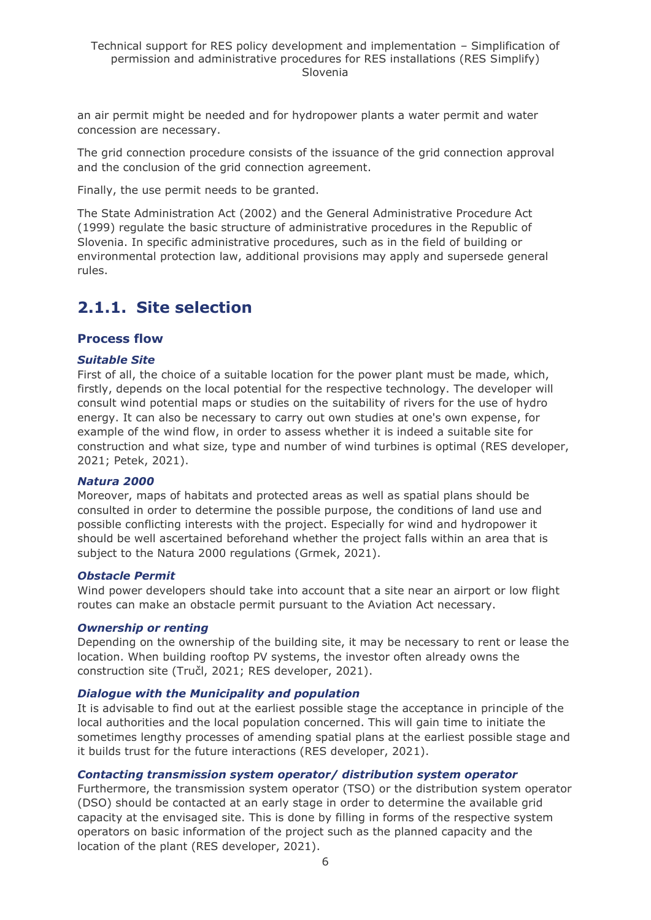an air permit might be needed and for hydropower plants a water permit and water concession are necessary.

The grid connection procedure consists of the issuance of the grid connection approval and the conclusion of the grid connection agreement.

Finally, the use permit needs to be granted.

The State Administration Act (2002) and the General Administrative Procedure Act (1999) regulate the basic structure of administrative procedures in the Republic of Slovenia. In specific administrative procedures, such as in the field of building or environmental protection law, additional provisions may apply and supersede general rules.

## <span id="page-5-0"></span>**2.1.1. Site selection**

#### **Process flow**

#### *Suitable Site*

First of all, the choice of a suitable location for the power plant must be made, which, firstly, depends on the local potential for the respective technology. The developer will consult wind potential maps or studies on the suitability of rivers for the use of hydro energy. It can also be necessary to carry out own studies at one's own expense, for example of the wind flow, in order to assess whether it is indeed a suitable site for construction and what size, type and number of wind turbines is optimal (RES developer, 2021; Petek, 2021).

#### *Natura 2000*

Moreover, maps of habitats and protected areas as well as spatial plans should be consulted in order to determine the possible purpose, the conditions of land use and possible conflicting interests with the project. Especially for wind and hydropower it should be well ascertained beforehand whether the project falls within an area that is subject to the Natura 2000 regulations (Grmek, 2021).

#### *Obstacle Permit*

Wind power developers should take into account that a site near an airport or low flight routes can make an obstacle permit pursuant to the Aviation Act necessary.

#### *Ownership or renting*

Depending on the ownership of the building site, it may be necessary to rent or lease the location. When building rooftop PV systems, the investor often already owns the construction site (Tručl, 2021; RES developer, 2021).

#### *Dialogue with the Municipality and population*

It is advisable to find out at the earliest possible stage the acceptance in principle of the local authorities and the local population concerned. This will gain time to initiate the sometimes lengthy processes of amending spatial plans at the earliest possible stage and it builds trust for the future interactions (RES developer, 2021).

#### *Contacting transmission system operator/ distribution system operator*

Furthermore, the transmission system operator (TSO) or the distribution system operator (DSO) should be contacted at an early stage in order to determine the available grid capacity at the envisaged site. This is done by filling in forms of the respective system operators on basic information of the project such as the planned capacity and the location of the plant (RES developer, 2021).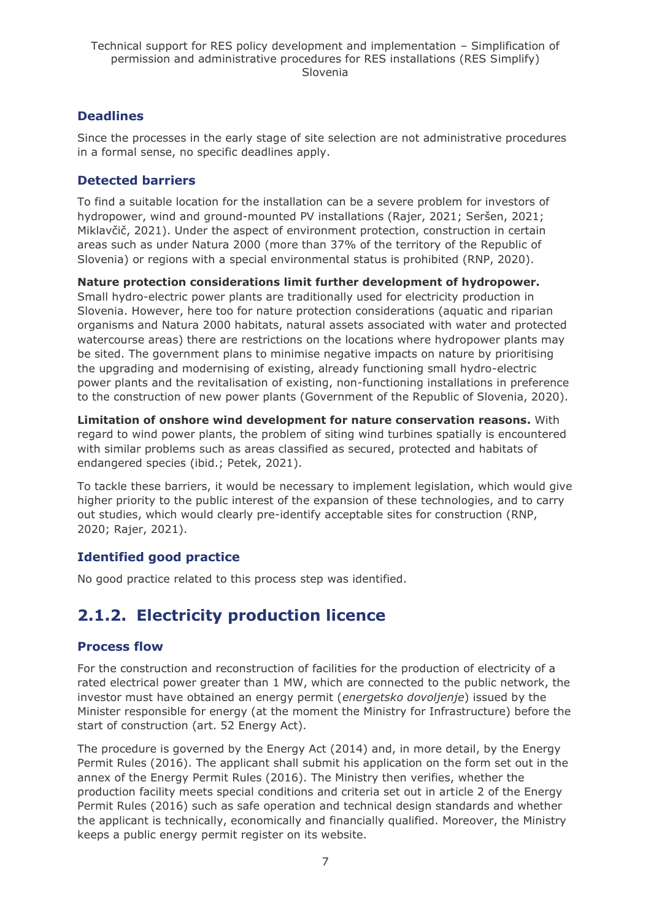### **Deadlines**

Since the processes in the early stage of site selection are not administrative procedures in a formal sense, no specific deadlines apply.

### **Detected barriers**

To find a suitable location for the installation can be a severe problem for investors of hydropower, wind and ground-mounted PV installations (Rajer, 2021; Seršen, 2021; Miklavčič, 2021). Under the aspect of environment protection, construction in certain areas such as under Natura 2000 (more than 37% of the territory of the Republic of Slovenia) or regions with a special environmental status is prohibited (RNP, 2020).

**Nature protection considerations limit further development of hydropower.**  Small hydro-electric power plants are traditionally used for electricity production in Slovenia. However, here too for nature protection considerations (aquatic and riparian organisms and Natura 2000 habitats, natural assets associated with water and protected watercourse areas) there are restrictions on the locations where hydropower plants may be sited. The government plans to minimise negative impacts on nature by prioritising the upgrading and modernising of existing, already functioning small hydro-electric power plants and the revitalisation of existing, non-functioning installations in preference to the construction of new power plants (Government of the Republic of Slovenia, 2020).

**Limitation of onshore wind development for nature conservation reasons.** With regard to wind power plants, the problem of siting wind turbines spatially is encountered with similar problems such as areas classified as secured, protected and habitats of endangered species (ibid.; Petek, 2021).

To tackle these barriers, it would be necessary to implement legislation, which would give higher priority to the public interest of the expansion of these technologies, and to carry out studies, which would clearly pre-identify acceptable sites for construction (RNP, 2020; Rajer, 2021).

### **Identified good practice**

No good practice related to this process step was identified.

## <span id="page-6-0"></span>**2.1.2. Electricity production licence**

### **Process flow**

For the construction and reconstruction of facilities for the production of electricity of a rated electrical power greater than 1 MW, which are connected to the public network, the investor must have obtained an energy permit (*energetsko dovoljenje*) issued by the Minister responsible for energy (at the moment the Ministry for Infrastructure) before the start of construction (art. 52 Energy Act).

The procedure is governed by the Energy Act (2014) and, in more detail, by the Energy Permit Rules (2016). The applicant shall submit his application on the form set out in the annex of the Energy Permit Rules (2016). The Ministry then verifies, whether the production facility meets special conditions and criteria set out in article 2 of the Energy Permit Rules (2016) such as safe operation and technical design standards and whether the applicant is technically, economically and financially qualified. Moreover, the Ministry keeps a public energy permit register on its website.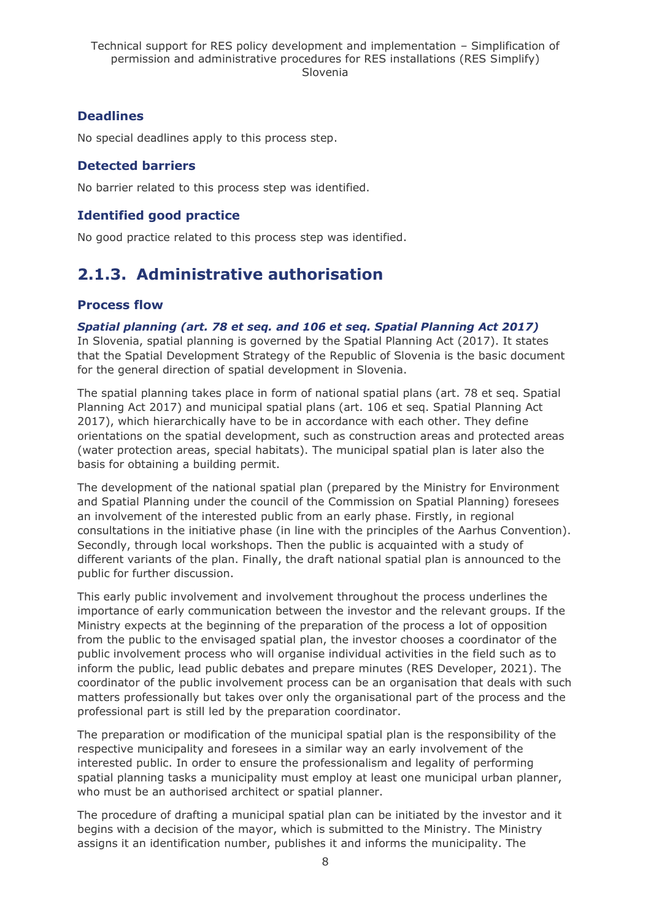## **Deadlines**

No special deadlines apply to this process step.

### **Detected barriers**

No barrier related to this process step was identified.

### **Identified good practice**

No good practice related to this process step was identified.

## <span id="page-7-0"></span>**2.1.3. Administrative authorisation**

### **Process flow**

*Spatial planning (art. 78 et seq. and 106 et seq. Spatial Planning Act 2017)*  In Slovenia, spatial planning is governed by the Spatial Planning Act (2017). It states that the Spatial Development Strategy of the Republic of Slovenia is the basic document for the general direction of spatial development in Slovenia.

The spatial planning takes place in form of national spatial plans (art. 78 et seq. Spatial Planning Act 2017) and municipal spatial plans (art. 106 et seq. Spatial Planning Act 2017), which hierarchically have to be in accordance with each other. They define orientations on the spatial development, such as construction areas and protected areas (water protection areas, special habitats). The municipal spatial plan is later also the basis for obtaining a building permit.

The development of the national spatial plan (prepared by the Ministry for Environment and Spatial Planning under the council of the Commission on Spatial Planning) foresees an involvement of the interested public from an early phase. Firstly, in regional consultations in the initiative phase (in line with the principles of the Aarhus Convention). Secondly, through local workshops. Then the public is acquainted with a study of different variants of the plan. Finally, the draft national spatial plan is announced to the public for further discussion.

This early public involvement and involvement throughout the process underlines the importance of early communication between the investor and the relevant groups. If the Ministry expects at the beginning of the preparation of the process a lot of opposition from the public to the envisaged spatial plan, the investor chooses a coordinator of the public involvement process who will organise individual activities in the field such as to inform the public, lead public debates and prepare minutes (RES Developer, 2021). The coordinator of the public involvement process can be an organisation that deals with such matters professionally but takes over only the organisational part of the process and the professional part is still led by the preparation coordinator.

The preparation or modification of the municipal spatial plan is the responsibility of the respective municipality and foresees in a similar way an early involvement of the interested public. In order to ensure the professionalism and legality of performing spatial planning tasks a municipality must employ at least one municipal urban planner, who must be an authorised architect or spatial planner.

The procedure of drafting a municipal spatial plan can be initiated by the investor and it begins with a decision of the mayor, which is submitted to the Ministry. The Ministry assigns it an identification number, publishes it and informs the municipality. The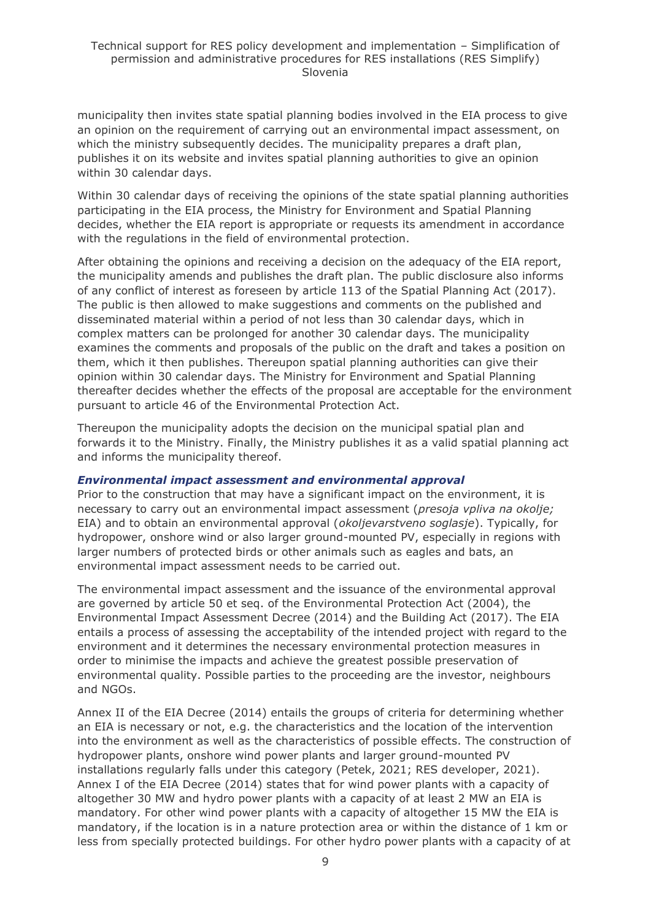municipality then invites state spatial planning bodies involved in the EIA process to give an opinion on the requirement of carrying out an environmental impact assessment, on which the ministry subsequently decides. The municipality prepares a draft plan, publishes it on its website and invites spatial planning authorities to give an opinion within 30 calendar days.

Within 30 calendar days of receiving the opinions of the state spatial planning authorities participating in the EIA process, the Ministry for Environment and Spatial Planning decides, whether the EIA report is appropriate or requests its amendment in accordance with the regulations in the field of environmental protection.

After obtaining the opinions and receiving a decision on the adequacy of the EIA report, the municipality amends and publishes the draft plan. The public disclosure also informs of any conflict of interest as foreseen by article 113 of the Spatial Planning Act (2017). The public is then allowed to make suggestions and comments on the published and disseminated material within a period of not less than 30 calendar days, which in complex matters can be prolonged for another 30 calendar days. The municipality examines the comments and proposals of the public on the draft and takes a position on them, which it then publishes. Thereupon spatial planning authorities can give their opinion within 30 calendar days. The Ministry for Environment and Spatial Planning thereafter decides whether the effects of the proposal are acceptable for the environment pursuant to article 46 of the Environmental Protection Act.

Thereupon the municipality adopts the decision on the municipal spatial plan and forwards it to the Ministry. Finally, the Ministry publishes it as a valid spatial planning act and informs the municipality thereof.

#### *Environmental impact assessment and environmental approval*

Prior to the construction that may have a significant impact on the environment, it is necessary to carry out an environmental impact assessment (*presoja vpliva na okolje;*  EIA) and to obtain an environmental approval (*okoljevarstveno soglasje*). Typically, for hydropower, onshore wind or also larger ground-mounted PV, especially in regions with larger numbers of protected birds or other animals such as eagles and bats, an environmental impact assessment needs to be carried out.

The environmental impact assessment and the issuance of the environmental approval are governed by article 50 et seq. of the Environmental Protection Act (2004), the Environmental Impact Assessment Decree (2014) and the Building Act (2017). The EIA entails a process of assessing the acceptability of the intended project with regard to the environment and it determines the necessary environmental protection measures in order to minimise the impacts and achieve the greatest possible preservation of environmental quality. Possible parties to the proceeding are the investor, neighbours and NGOs.

Annex II of the EIA Decree (2014) entails the groups of criteria for determining whether an EIA is necessary or not, e.g. the characteristics and the location of the intervention into the environment as well as the characteristics of possible effects. The construction of hydropower plants, onshore wind power plants and larger ground-mounted PV installations regularly falls under this category (Petek, 2021; RES developer, 2021). Annex I of the EIA Decree (2014) states that for wind power plants with a capacity of altogether 30 MW and hydro power plants with a capacity of at least 2 MW an EIA is mandatory. For other wind power plants with a capacity of altogether 15 MW the EIA is mandatory, if the location is in a nature protection area or within the distance of 1 km or less from specially protected buildings. For other hydro power plants with a capacity of at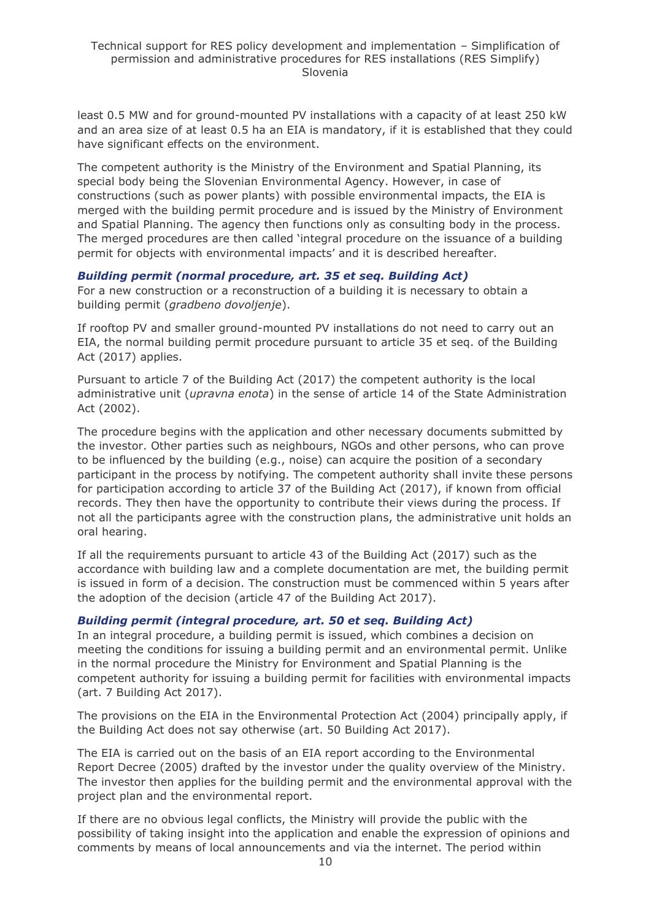least 0.5 MW and for ground-mounted PV installations with a capacity of at least 250 kW and an area size of at least 0.5 ha an EIA is mandatory, if it is established that they could have significant effects on the environment.

The competent authority is the Ministry of the Environment and Spatial Planning, its special body being the Slovenian Environmental Agency. However, in case of constructions (such as power plants) with possible environmental impacts, the EIA is merged with the building permit procedure and is issued by the Ministry of Environment and Spatial Planning. The agency then functions only as consulting body in the process. The merged procedures are then called 'integral procedure on the issuance of a building permit for objects with environmental impacts' and it is described hereafter.

#### *Building permit (normal procedure, art. 35 et seq. Building Act)*

For a new construction or a reconstruction of a building it is necessary to obtain a building permit (*gradbeno dovoljenje*).

If rooftop PV and smaller ground-mounted PV installations do not need to carry out an EIA, the normal building permit procedure pursuant to article 35 et seq. of the Building Act (2017) applies.

Pursuant to article 7 of the Building Act (2017) the competent authority is the local administrative unit (*upravna enota*) in the sense of article 14 of the State Administration Act (2002).

The procedure begins with the application and other necessary documents submitted by the investor. Other parties such as neighbours, NGOs and other persons, who can prove to be influenced by the building (e.g., noise) can acquire the position of a secondary participant in the process by notifying. The competent authority shall invite these persons for participation according to article 37 of the Building Act (2017), if known from official records. They then have the opportunity to contribute their views during the process. If not all the participants agree with the construction plans, the administrative unit holds an oral hearing.

If all the requirements pursuant to article 43 of the Building Act (2017) such as the accordance with building law and a complete documentation are met, the building permit is issued in form of a decision. The construction must be commenced within 5 years after the adoption of the decision (article 47 of the Building Act 2017).

#### *Building permit (integral procedure, art. 50 et seq. Building Act)*

In an integral procedure, a building permit is issued, which combines a decision on meeting the conditions for issuing a building permit and an environmental permit. Unlike in the normal procedure the Ministry for Environment and Spatial Planning is the competent authority for issuing a building permit for facilities with environmental impacts (art. 7 Building Act 2017).

The provisions on the EIA in the Environmental Protection Act (2004) principally apply, if the Building Act does not say otherwise (art. 50 Building Act 2017).

The EIA is carried out on the basis of an EIA report according to the Environmental Report Decree (2005) drafted by the investor under the quality overview of the Ministry. The investor then applies for the building permit and the environmental approval with the project plan and the environmental report.

If there are no obvious legal conflicts, the Ministry will provide the public with the possibility of taking insight into the application and enable the expression of opinions and comments by means of local announcements and via the internet. The period within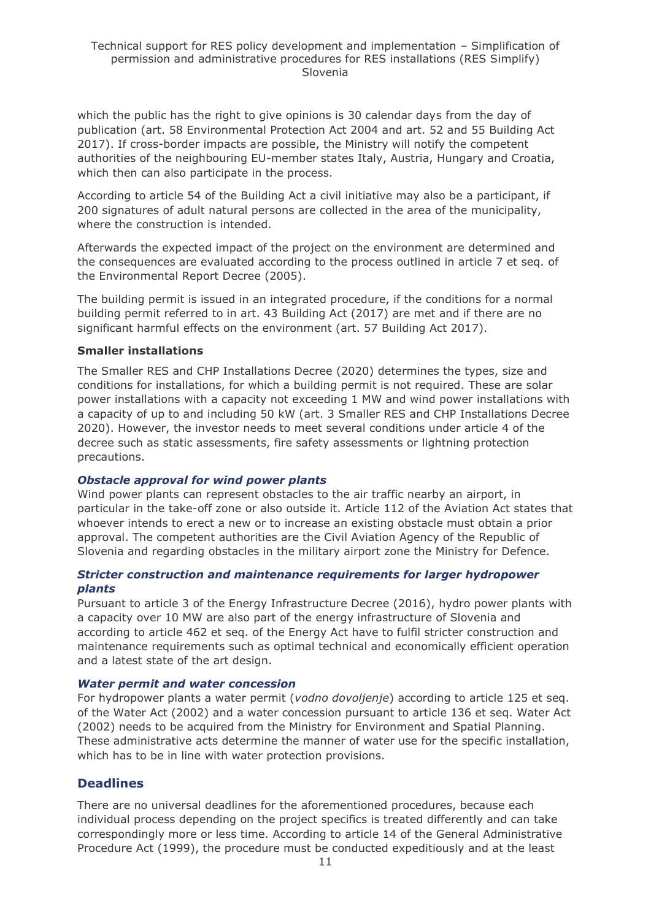which the public has the right to give opinions is 30 calendar days from the day of publication (art. 58 Environmental Protection Act 2004 and art. 52 and 55 Building Act 2017). If cross-border impacts are possible, the Ministry will notify the competent authorities of the neighbouring EU-member states Italy, Austria, Hungary and Croatia, which then can also participate in the process.

According to article 54 of the Building Act a civil initiative may also be a participant, if 200 signatures of adult natural persons are collected in the area of the municipality, where the construction is intended.

Afterwards the expected impact of the project on the environment are determined and the consequences are evaluated according to the process outlined in article 7 et seq. of the Environmental Report Decree (2005).

The building permit is issued in an integrated procedure, if the conditions for a normal building permit referred to in art. 43 Building Act (2017) are met and if there are no significant harmful effects on the environment (art. 57 Building Act 2017).

#### **Smaller installations**

The Smaller RES and CHP Installations Decree (2020) determines the types, size and conditions for installations, for which a building permit is not required. These are solar power installations with a capacity not exceeding 1 MW and wind power installations with a capacity of up to and including 50 kW (art. 3 Smaller RES and CHP Installations Decree 2020). However, the investor needs to meet several conditions under article 4 of the decree such as static assessments, fire safety assessments or lightning protection precautions.

#### *Obstacle approval for wind power plants*

Wind power plants can represent obstacles to the air traffic nearby an airport, in particular in the take-off zone or also outside it. Article 112 of the Aviation Act states that whoever intends to erect a new or to increase an existing obstacle must obtain a prior approval. The competent authorities are the Civil Aviation Agency of the Republic of Slovenia and regarding obstacles in the military airport zone the Ministry for Defence.

#### *Stricter construction and maintenance requirements for larger hydropower plants*

Pursuant to article 3 of the Energy Infrastructure Decree (2016), hydro power plants with a capacity over 10 MW are also part of the energy infrastructure of Slovenia and according to article 462 et seq. of the Energy Act have to fulfil stricter construction and maintenance requirements such as optimal technical and economically efficient operation and a latest state of the art design.

#### *Water permit and water concession*

For hydropower plants a water permit (*vodno dovoljenje*) according to article 125 et seq. of the Water Act (2002) and a water concession pursuant to article 136 et seq. Water Act (2002) needs to be acquired from the Ministry for Environment and Spatial Planning. These administrative acts determine the manner of water use for the specific installation, which has to be in line with water protection provisions.

### **Deadlines**

There are no universal deadlines for the aforementioned procedures, because each individual process depending on the project specifics is treated differently and can take correspondingly more or less time. According to article 14 of the General Administrative Procedure Act (1999), the procedure must be conducted expeditiously and at the least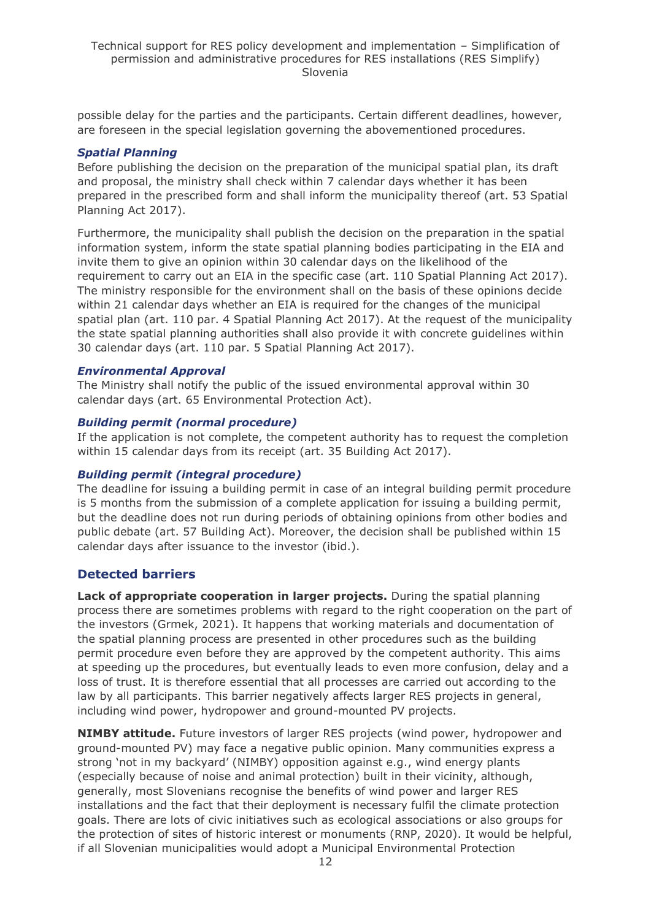possible delay for the parties and the participants. Certain different deadlines, however, are foreseen in the special legislation governing the abovementioned procedures.

#### *Spatial Planning*

Before publishing the decision on the preparation of the municipal spatial plan, its draft and proposal, the ministry shall check within 7 calendar days whether it has been prepared in the prescribed form and shall inform the municipality thereof (art. 53 Spatial Planning Act 2017).

Furthermore, the municipality shall publish the decision on the preparation in the spatial information system, inform the state spatial planning bodies participating in the EIA and invite them to give an opinion within 30 calendar days on the likelihood of the requirement to carry out an EIA in the specific case (art. 110 Spatial Planning Act 2017). The ministry responsible for the environment shall on the basis of these opinions decide within 21 calendar days whether an EIA is required for the changes of the municipal spatial plan (art. 110 par. 4 Spatial Planning Act 2017). At the request of the municipality the state spatial planning authorities shall also provide it with concrete guidelines within 30 calendar days (art. 110 par. 5 Spatial Planning Act 2017).

#### *Environmental Approval*

The Ministry shall notify the public of the issued environmental approval within 30 calendar days (art. 65 Environmental Protection Act).

#### *Building permit (normal procedure)*

If the application is not complete, the competent authority has to request the completion within 15 calendar days from its receipt (art. 35 Building Act 2017).

#### *Building permit (integral procedure)*

The deadline for issuing a building permit in case of an integral building permit procedure is 5 months from the submission of a complete application for issuing a building permit, but the deadline does not run during periods of obtaining opinions from other bodies and public debate (art. 57 Building Act). Moreover, the decision shall be published within 15 calendar days after issuance to the investor (ibid.).

#### **Detected barriers**

**Lack of appropriate cooperation in larger projects.** During the spatial planning process there are sometimes problems with regard to the right cooperation on the part of the investors (Grmek, 2021). It happens that working materials and documentation of the spatial planning process are presented in other procedures such as the building permit procedure even before they are approved by the competent authority. This aims at speeding up the procedures, but eventually leads to even more confusion, delay and a loss of trust. It is therefore essential that all processes are carried out according to the law by all participants. This barrier negatively affects larger RES projects in general, including wind power, hydropower and ground-mounted PV projects.

**NIMBY attitude.** Future investors of larger RES projects (wind power, hydropower and ground-mounted PV) may face a negative public opinion. Many communities express a strong 'not in my backyard' (NIMBY) opposition against e.g., wind energy plants (especially because of noise and animal protection) built in their vicinity, although, generally, most Slovenians recognise the benefits of wind power and larger RES installations and the fact that their deployment is necessary fulfil the climate protection goals. There are lots of civic initiatives such as ecological associations or also groups for the protection of sites of historic interest or monuments (RNP, 2020). It would be helpful, if all Slovenian municipalities would adopt a Municipal Environmental Protection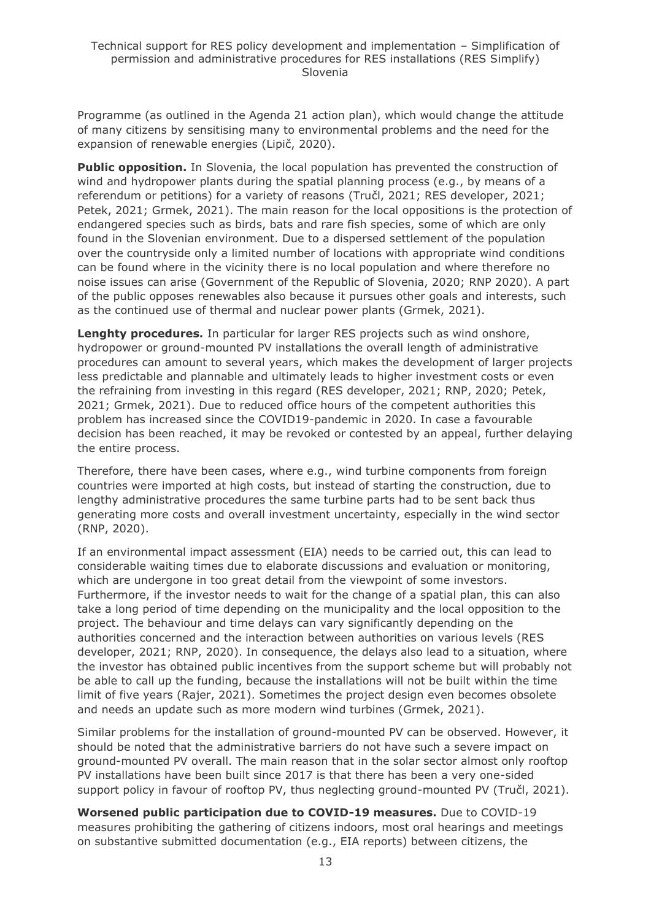Programme (as outlined in the Agenda 21 action plan), which would change the attitude of many citizens by sensitising many to environmental problems and the need for the expansion of renewable energies (Lipič, 2020).

**Public opposition.** In Slovenia, the local population has prevented the construction of wind and hydropower plants during the spatial planning process (e.g., by means of a referendum or petitions) for a variety of reasons (Tručl, 2021; RES developer, 2021; Petek, 2021; Grmek, 2021). The main reason for the local oppositions is the protection of endangered species such as birds, bats and rare fish species, some of which are only found in the Slovenian environment. Due to a dispersed settlement of the population over the countryside only a limited number of locations with appropriate wind conditions can be found where in the vicinity there is no local population and where therefore no noise issues can arise (Government of the Republic of Slovenia, 2020; RNP 2020). A part of the public opposes renewables also because it pursues other goals and interests, such as the continued use of thermal and nuclear power plants (Grmek, 2021).

**Lenghty procedures.** In particular for larger RES projects such as wind onshore, hydropower or ground-mounted PV installations the overall length of administrative procedures can amount to several years, which makes the development of larger projects less predictable and plannable and ultimately leads to higher investment costs or even the refraining from investing in this regard (RES developer, 2021; RNP, 2020; Petek, 2021; Grmek, 2021). Due to reduced office hours of the competent authorities this problem has increased since the COVID19-pandemic in 2020. In case a favourable decision has been reached, it may be revoked or contested by an appeal, further delaying the entire process.

Therefore, there have been cases, where e.g., wind turbine components from foreign countries were imported at high costs, but instead of starting the construction, due to lengthy administrative procedures the same turbine parts had to be sent back thus generating more costs and overall investment uncertainty, especially in the wind sector (RNP, 2020).

If an environmental impact assessment (EIA) needs to be carried out, this can lead to considerable waiting times due to elaborate discussions and evaluation or monitoring, which are undergone in too great detail from the viewpoint of some investors. Furthermore, if the investor needs to wait for the change of a spatial plan, this can also take a long period of time depending on the municipality and the local opposition to the project. The behaviour and time delays can vary significantly depending on the authorities concerned and the interaction between authorities on various levels (RES developer, 2021; RNP, 2020). In consequence, the delays also lead to a situation, where the investor has obtained public incentives from the support scheme but will probably not be able to call up the funding, because the installations will not be built within the time limit of five years (Rajer, 2021). Sometimes the project design even becomes obsolete and needs an update such as more modern wind turbines (Grmek, 2021).

Similar problems for the installation of ground-mounted PV can be observed. However, it should be noted that the administrative barriers do not have such a severe impact on ground-mounted PV overall. The main reason that in the solar sector almost only rooftop PV installations have been built since 2017 is that there has been a very one-sided support policy in favour of rooftop PV, thus neglecting ground-mounted PV (Tručl, 2021).

**Worsened public participation due to COVID-19 measures.** Due to COVID-19 measures prohibiting the gathering of citizens indoors, most oral hearings and meetings on substantive submitted documentation (e.g., EIA reports) between citizens, the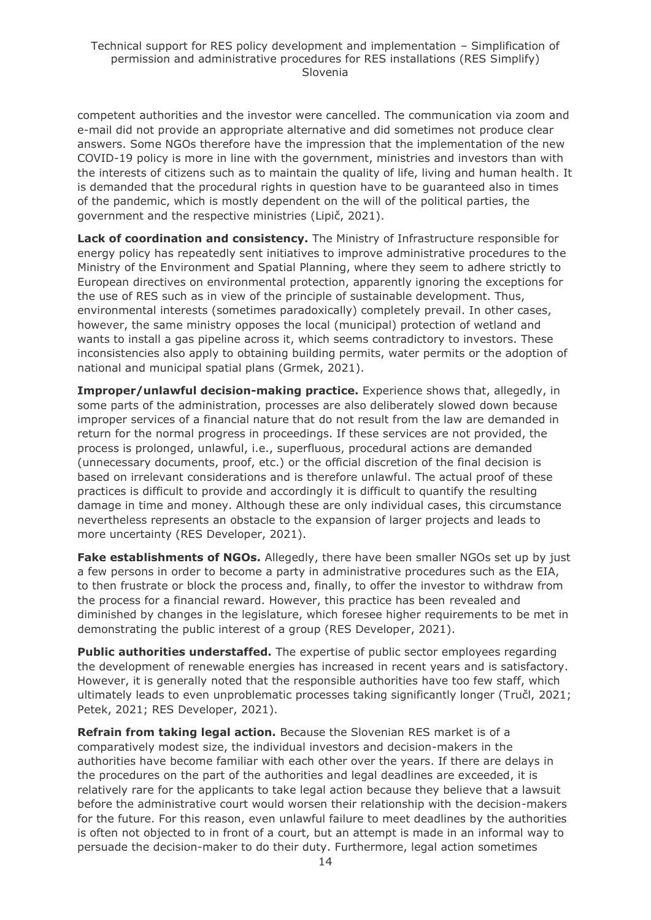competent authorities and the investor were cancelled. The communication via zoom and e-mail did not provide an appropriate alternative and did sometimes not produce clear answers. Some NGOs therefore have the impression that the implementation of the new COVID-19 policy is more in line with the government, ministries and investors than with the interests of citizens such as to maintain the quality of life, living and human health. It is demanded that the procedural rights in question have to be guaranteed also in times of the pandemic, which is mostly dependent on the will of the political parties, the government and the respective ministries (Lipič, 2021).

**Lack of coordination and consistency.** The Ministry of Infrastructure responsible for energy policy has repeatedly sent initiatives to improve administrative procedures to the Ministry of the Environment and Spatial Planning, where they seem to adhere strictly to European directives on environmental protection, apparently ignoring the exceptions for the use of RES such as in view of the principle of sustainable development. Thus, environmental interests (sometimes paradoxically) completely prevail. In other cases, however, the same ministry opposes the local (municipal) protection of wetland and wants to install a gas pipeline across it, which seems contradictory to investors. These inconsistencies also apply to obtaining building permits, water permits or the adoption of national and municipal spatial plans (Grmek, 2021).

**Improper/unlawful decision-making practice.** Experience shows that, allegedly, in some parts of the administration, processes are also deliberately slowed down because improper services of a financial nature that do not result from the law are demanded in return for the normal progress in proceedings. If these services are not provided, the process is prolonged, unlawful, i.e., superfluous, procedural actions are demanded (unnecessary documents, proof, etc.) or the official discretion of the final decision is based on irrelevant considerations and is therefore unlawful. The actual proof of these practices is difficult to provide and accordingly it is difficult to quantify the resulting damage in time and money. Although these are only individual cases, this circumstance nevertheless represents an obstacle to the expansion of larger projects and leads to more uncertainty (RES Developer, 2021).

**Fake establishments of NGOs.** Allegedly, there have been smaller NGOs set up by just a few persons in order to become a party in administrative procedures such as the EIA, to then frustrate or block the process and, finally, to offer the investor to withdraw from the process for a financial reward. However, this practice has been revealed and diminished by changes in the legislature, which foresee higher requirements to be met in demonstrating the public interest of a group (RES Developer, 2021).

**Public authorities understaffed.** The expertise of public sector employees regarding the development of renewable energies has increased in recent years and is satisfactory. However, it is generally noted that the responsible authorities have too few staff, which ultimately leads to even unproblematic processes taking significantly longer (Tručl, 2021; Petek, 2021; RES Developer, 2021).

**Refrain from taking legal action.** Because the Slovenian RES market is of a comparatively modest size, the individual investors and decision-makers in the authorities have become familiar with each other over the years. If there are delays in the procedures on the part of the authorities and legal deadlines are exceeded, it is relatively rare for the applicants to take legal action because they believe that a lawsuit before the administrative court would worsen their relationship with the decision-makers for the future. For this reason, even unlawful failure to meet deadlines by the authorities is often not objected to in front of a court, but an attempt is made in an informal way to persuade the decision-maker to do their duty. Furthermore, legal action sometimes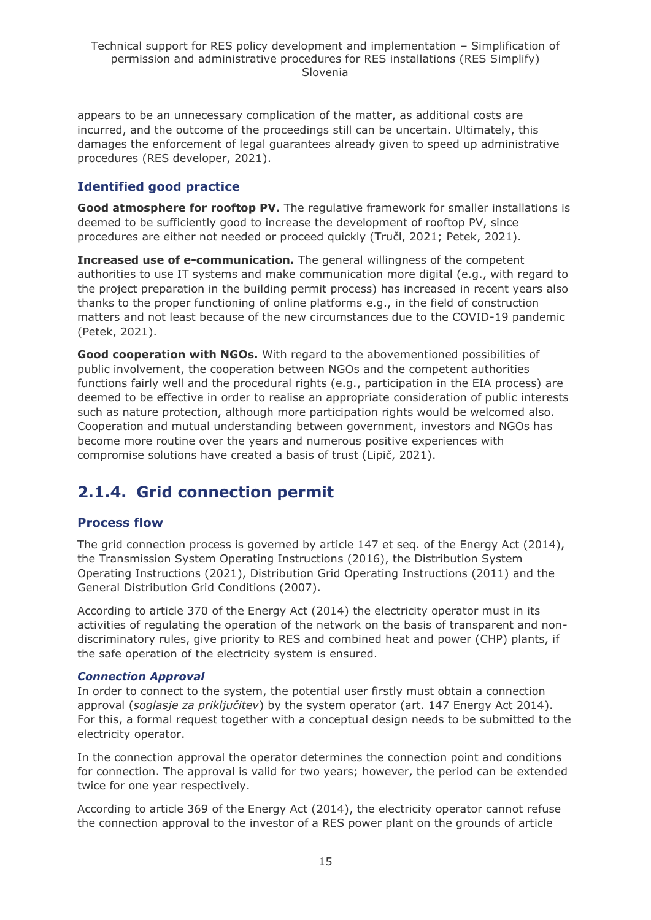appears to be an unnecessary complication of the matter, as additional costs are incurred, and the outcome of the proceedings still can be uncertain. Ultimately, this damages the enforcement of legal guarantees already given to speed up administrative procedures (RES developer, 2021).

### **Identified good practice**

**Good atmosphere for rooftop PV.** The regulative framework for smaller installations is deemed to be sufficiently good to increase the development of rooftop PV, since procedures are either not needed or proceed quickly (Tručl, 2021; Petek, 2021).

**Increased use of e-communication.** The general willingness of the competent authorities to use IT systems and make communication more digital (e.g., with regard to the project preparation in the building permit process) has increased in recent years also thanks to the proper functioning of online platforms e.g., in the field of construction matters and not least because of the new circumstances due to the COVID-19 pandemic (Petek, 2021).

**Good cooperation with NGOs.** With regard to the abovementioned possibilities of public involvement, the cooperation between NGOs and the competent authorities functions fairly well and the procedural rights (e.g., participation in the EIA process) are deemed to be effective in order to realise an appropriate consideration of public interests such as nature protection, although more participation rights would be welcomed also. Cooperation and mutual understanding between government, investors and NGOs has become more routine over the years and numerous positive experiences with compromise solutions have created a basis of trust (Lipič, 2021).

## <span id="page-14-0"></span>**2.1.4. Grid connection permit**

### **Process flow**

The grid connection process is governed by article 147 et seq. of the Energy Act (2014), the Transmission System Operating Instructions (2016), the Distribution System Operating Instructions (2021), Distribution Grid Operating Instructions (2011) and the General Distribution Grid Conditions (2007).

According to article 370 of the Energy Act (2014) the electricity operator must in its activities of regulating the operation of the network on the basis of transparent and nondiscriminatory rules, give priority to RES and combined heat and power (CHP) plants, if the safe operation of the electricity system is ensured.

#### *Connection Approval*

In order to connect to the system, the potential user firstly must obtain a connection approval (*soglasje za priključitev*) by the system operator (art. 147 Energy Act 2014). For this, a formal request together with a conceptual design needs to be submitted to the electricity operator.

In the connection approval the operator determines the connection point and conditions for connection. The approval is valid for two years; however, the period can be extended twice for one year respectively.

According to article 369 of the Energy Act (2014), the electricity operator cannot refuse the connection approval to the investor of a RES power plant on the grounds of article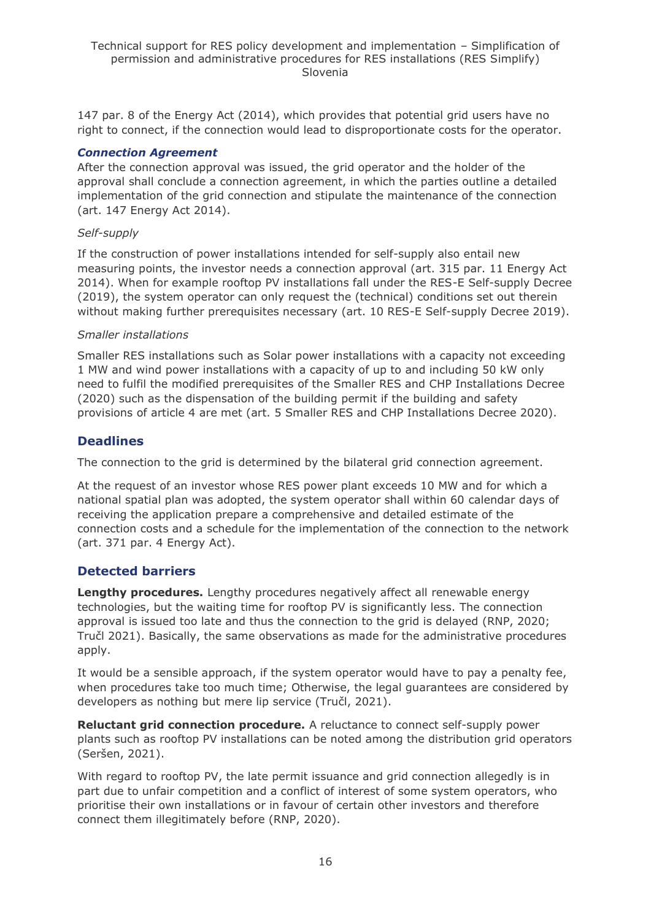147 par. 8 of the Energy Act (2014), which provides that potential grid users have no right to connect, if the connection would lead to disproportionate costs for the operator.

#### *Connection Agreement*

After the connection approval was issued, the grid operator and the holder of the approval shall conclude a connection agreement, in which the parties outline a detailed implementation of the grid connection and stipulate the maintenance of the connection (art. 147 Energy Act 2014).

#### *Self-supply*

If the construction of power installations intended for self-supply also entail new measuring points, the investor needs a connection approval (art. 315 par. 11 Energy Act 2014). When for example rooftop PV installations fall under the RES-E Self-supply Decree (2019), the system operator can only request the (technical) conditions set out therein without making further prerequisites necessary (art. 10 RES-E Self-supply Decree 2019).

#### *Smaller installations*

Smaller RES installations such as Solar power installations with a capacity not exceeding 1 MW and wind power installations with a capacity of up to and including 50 kW only need to fulfil the modified prerequisites of the Smaller RES and CHP Installations Decree (2020) such as the dispensation of the building permit if the building and safety provisions of article 4 are met (art. 5 Smaller RES and CHP Installations Decree 2020).

#### **Deadlines**

The connection to the grid is determined by the bilateral grid connection agreement.

At the request of an investor whose RES power plant exceeds 10 MW and for which a national spatial plan was adopted, the system operator shall within 60 calendar days of receiving the application prepare a comprehensive and detailed estimate of the connection costs and a schedule for the implementation of the connection to the network (art. 371 par. 4 Energy Act).

#### **Detected barriers**

**Lengthy procedures.** Lengthy procedures negatively affect all renewable energy technologies, but the waiting time for rooftop PV is significantly less. The connection approval is issued too late and thus the connection to the grid is delayed (RNP, 2020; Tručl 2021). Basically, the same observations as made for the administrative procedures apply.

It would be a sensible approach, if the system operator would have to pay a penalty fee, when procedures take too much time; Otherwise, the legal guarantees are considered by developers as nothing but mere lip service (Tručl, 2021).

**Reluctant grid connection procedure.** A reluctance to connect self-supply power plants such as rooftop PV installations can be noted among the distribution grid operators (Seršen, 2021).

With regard to rooftop PV, the late permit issuance and grid connection allegedly is in part due to unfair competition and a conflict of interest of some system operators, who prioritise their own installations or in favour of certain other investors and therefore connect them illegitimately before (RNP, 2020).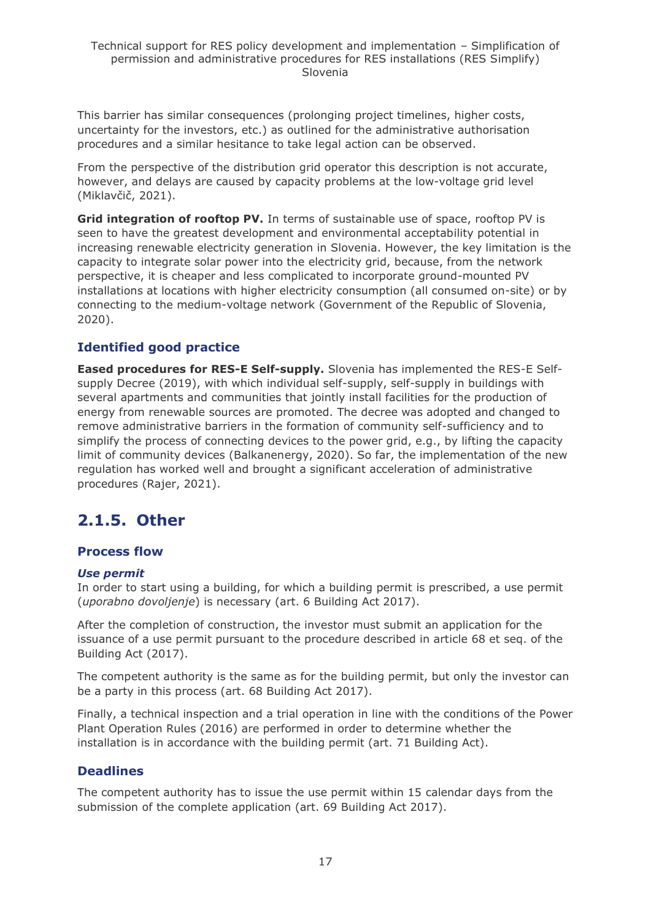This barrier has similar consequences (prolonging project timelines, higher costs, uncertainty for the investors, etc.) as outlined for the administrative authorisation procedures and a similar hesitance to take legal action can be observed.

From the perspective of the distribution grid operator this description is not accurate, however, and delays are caused by capacity problems at the low-voltage grid level (Miklavčič, 2021).

**Grid integration of rooftop PV.** In terms of sustainable use of space, rooftop PV is seen to have the greatest development and environmental acceptability potential in increasing renewable electricity generation in Slovenia. However, the key limitation is the capacity to integrate solar power into the electricity grid, because, from the network perspective, it is cheaper and less complicated to incorporate ground-mounted PV installations at locations with higher electricity consumption (all consumed on-site) or by connecting to the medium-voltage network (Government of the Republic of Slovenia, 2020).

### **Identified good practice**

**Eased procedures for RES-E Self-supply.** Slovenia has implemented the RES-E Selfsupply Decree (2019), with which individual self-supply, self-supply in buildings with several apartments and communities that jointly install facilities for the production of energy from renewable sources are promoted. The decree was adopted and changed to remove administrative barriers in the formation of community self-sufficiency and to simplify the process of connecting devices to the power grid, e.g., by lifting the capacity limit of community devices (Balkanenergy, 2020). So far, the implementation of the new regulation has worked well and brought a significant acceleration of administrative procedures (Rajer, 2021).

## <span id="page-16-0"></span>**2.1.5. Other**

#### **Process flow**

#### *Use permit*

In order to start using a building, for which a building permit is prescribed, a use permit (*uporabno dovoljenje*) is necessary (art. 6 Building Act 2017).

After the completion of construction, the investor must submit an application for the issuance of a use permit pursuant to the procedure described in article 68 et seq. of the Building Act (2017).

The competent authority is the same as for the building permit, but only the investor can be a party in this process (art. 68 Building Act 2017).

Finally, a technical inspection and a trial operation in line with the conditions of the Power Plant Operation Rules (2016) are performed in order to determine whether the installation is in accordance with the building permit (art. 71 Building Act).

### **Deadlines**

The competent authority has to issue the use permit within 15 calendar days from the submission of the complete application (art. 69 Building Act 2017).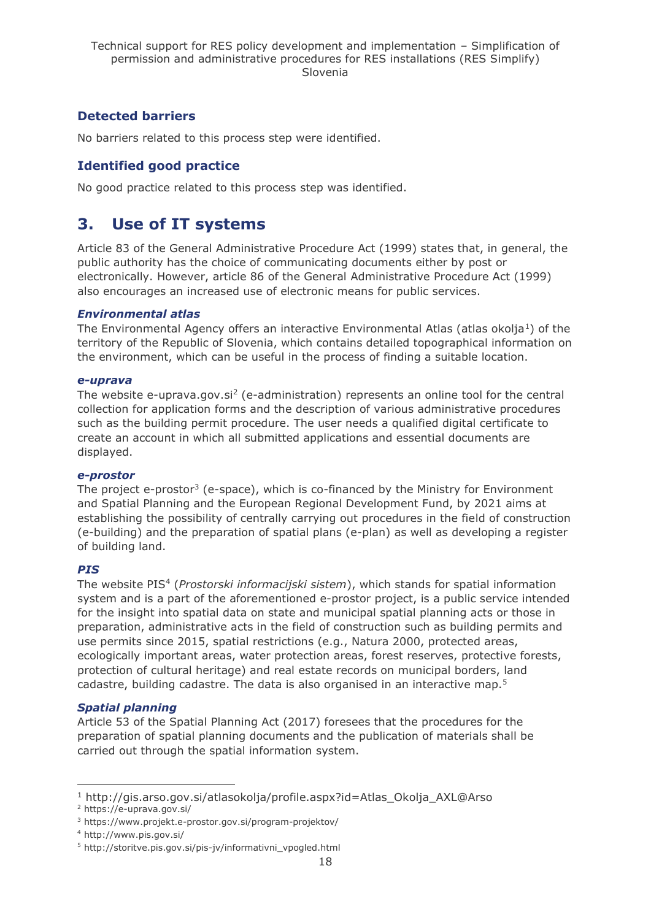### **Detected barriers**

No barriers related to this process step were identified.

### **Identified good practice**

No good practice related to this process step was identified.

## <span id="page-17-0"></span>**3. Use of IT systems**

Article 83 of the General Administrative Procedure Act (1999) states that, in general, the public authority has the choice of communicating documents either by post or electronically. However, article 86 of the General Administrative Procedure Act (1999) also encourages an increased use of electronic means for public services.

#### *Environmental atlas*

The Environmental Agency offers an interactive Environmental Atlas (atlas okolja<sup>1</sup>) of the territory of the Republic of Slovenia, which contains detailed topographical information on the environment, which can be useful in the process of finding a suitable location.

#### *e-uprava*

The website e-uprava.gov.si<sup>2</sup> (e-administration) represents an online tool for the central collection for application forms and the description of various administrative procedures such as the building permit procedure. The user needs a qualified digital certificate to create an account in which all submitted applications and essential documents are displayed.

#### *e-prostor*

The project e-prostor<sup>3</sup> (e-space), which is co-financed by the Ministry for Environment and Spatial Planning and the European Regional Development Fund, by 2021 aims at establishing the possibility of centrally carrying out procedures in the field of construction (e-building) and the preparation of spatial plans (e-plan) as well as developing a register of building land.

#### *PIS*

The website PIS<sup>4</sup> (*Prostorski informacijski sistem*), which stands for spatial information system and is a part of the aforementioned e-prostor project, is a public service intended for the insight into spatial data on state and municipal spatial planning acts or those in preparation, administrative acts in the field of construction such as building permits and use permits since 2015, spatial restrictions (e.g., Natura 2000, protected areas, ecologically important areas, water protection areas, forest reserves, protective forests, protection of cultural heritage) and real estate records on municipal borders, land cadastre, building cadastre. The data is also organised in an interactive map.<sup>5</sup>

#### *Spatial planning*

Article 53 of the Spatial Planning Act (2017) foresees that the procedures for the preparation of spatial planning documents and the publication of materials shall be carried out through the spatial information system.

<sup>1</sup> http://gis.arso.gov.si/atlasokolja/profile.aspx?id=Atlas\_Okolja\_AXL@Arso

<sup>2</sup> https://e-uprava.gov.si/

<sup>3</sup> https://www.projekt.e-prostor.gov.si/program-projektov/

<sup>4</sup> http://www.pis.gov.si/

<sup>5</sup> http://storitve.pis.gov.si/pis-jv/informativni\_vpogled.html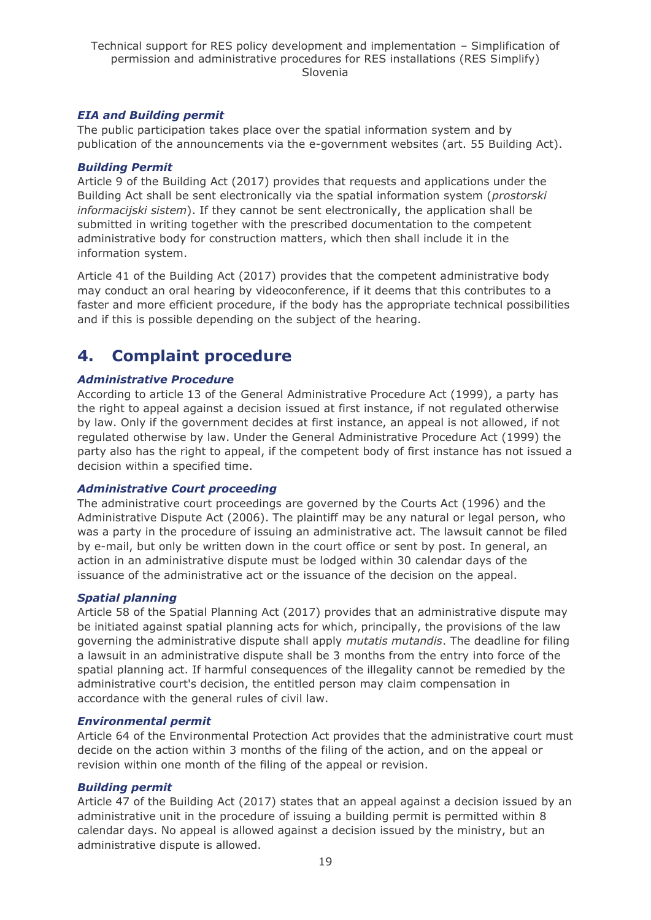#### *EIA and Building permit*

The public participation takes place over the spatial information system and by publication of the announcements via the e-government websites (art. 55 Building Act).

#### *Building Permit*

Article 9 of the Building Act (2017) provides that requests and applications under the Building Act shall be sent electronically via the spatial information system (*prostorski informacijski sistem*). If they cannot be sent electronically, the application shall be submitted in writing together with the prescribed documentation to the competent administrative body for construction matters, which then shall include it in the information system.

Article 41 of the Building Act (2017) provides that the competent administrative body may conduct an oral hearing by videoconference, if it deems that this contributes to a faster and more efficient procedure, if the body has the appropriate technical possibilities and if this is possible depending on the subject of the hearing.

## <span id="page-18-0"></span>**4. Complaint procedure**

#### *Administrative Procedure*

According to article 13 of the General Administrative Procedure Act (1999), a party has the right to appeal against a decision issued at first instance, if not regulated otherwise by law. Only if the government decides at first instance, an appeal is not allowed, if not regulated otherwise by law. Under the General Administrative Procedure Act (1999) the party also has the right to appeal, if the competent body of first instance has not issued a decision within a specified time.

#### *Administrative Court proceeding*

The administrative court proceedings are governed by the Courts Act (1996) and the Administrative Dispute Act (2006). The plaintiff may be any natural or legal person, who was a party in the procedure of issuing an administrative act. The lawsuit cannot be filed by e-mail, but only be written down in the court office or sent by post. In general, an action in an administrative dispute must be lodged within 30 calendar days of the issuance of the administrative act or the issuance of the decision on the appeal.

#### *Spatial planning*

Article 58 of the Spatial Planning Act (2017) provides that an administrative dispute may be initiated against spatial planning acts for which, principally, the provisions of the law governing the administrative dispute shall apply *mutatis mutandis*. The deadline for filing a lawsuit in an administrative dispute shall be 3 months from the entry into force of the spatial planning act. If harmful consequences of the illegality cannot be remedied by the administrative court's decision, the entitled person may claim compensation in accordance with the general rules of civil law.

#### *Environmental permit*

Article 64 of the Environmental Protection Act provides that the administrative court must decide on the action within 3 months of the filing of the action, and on the appeal or revision within one month of the filing of the appeal or revision.

#### *Building permit*

Article 47 of the Building Act (2017) states that an appeal against a decision issued by an administrative unit in the procedure of issuing a building permit is permitted within 8 calendar days. No appeal is allowed against a decision issued by the ministry, but an administrative dispute is allowed.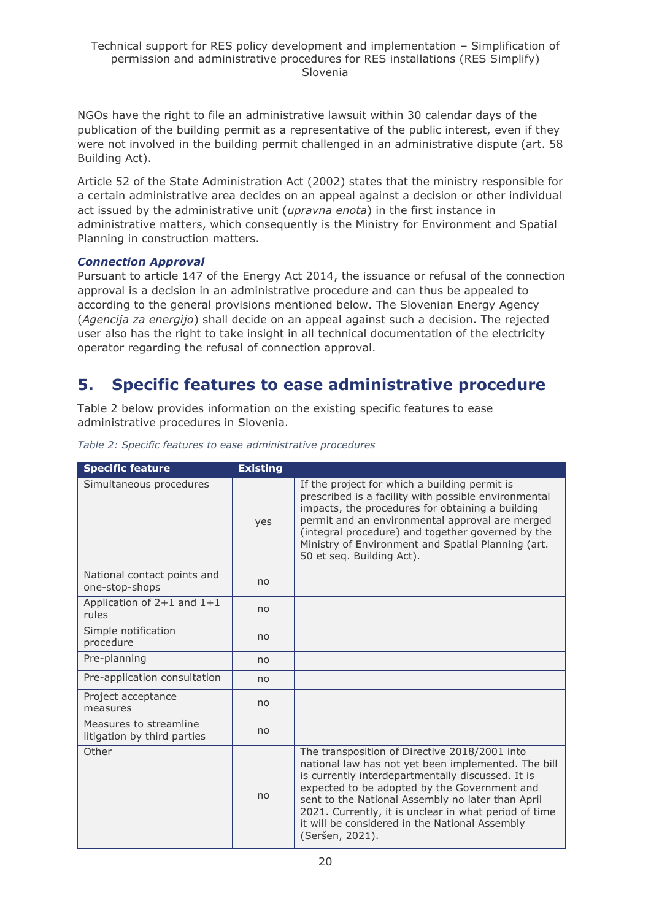NGOs have the right to file an administrative lawsuit within 30 calendar days of the publication of the building permit as a representative of the public interest, even if they were not involved in the building permit challenged in an administrative dispute (art. 58 Building Act).

Article 52 of the State Administration Act (2002) states that the ministry responsible for a certain administrative area decides on an appeal against a decision or other individual act issued by the administrative unit (*upravna enota*) in the first instance in administrative matters, which consequently is the Ministry for Environment and Spatial Planning in construction matters.

#### *Connection Approval*

Pursuant to article 147 of the Energy Act 2014, the issuance or refusal of the connection approval is a decision in an administrative procedure and can thus be appealed to according to the general provisions mentioned below. The Slovenian Energy Agency (*Agencija za energijo*) shall decide on an appeal against such a decision. The rejected user also has the right to take insight in all technical documentation of the electricity operator regarding the refusal of connection approval.

## <span id="page-19-0"></span>**5. Specific features to ease administrative procedure**

Table 2 below provides information on the existing specific features to ease administrative procedures in Slovenia.

| <b>Specific feature</b>                               | <b>Existing</b> |                                                                                                                                                                                                                                                                                                                                                                                              |
|-------------------------------------------------------|-----------------|----------------------------------------------------------------------------------------------------------------------------------------------------------------------------------------------------------------------------------------------------------------------------------------------------------------------------------------------------------------------------------------------|
| Simultaneous procedures                               | yes             | If the project for which a building permit is<br>prescribed is a facility with possible environmental<br>impacts, the procedures for obtaining a building<br>permit and an environmental approval are merged<br>(integral procedure) and together governed by the<br>Ministry of Environment and Spatial Planning (art.<br>50 et seq. Building Act).                                         |
| National contact points and<br>one-stop-shops         | no              |                                                                                                                                                                                                                                                                                                                                                                                              |
| Application of $2+1$ and $1+1$<br>rules               | no              |                                                                                                                                                                                                                                                                                                                                                                                              |
| Simple notification<br>procedure                      | no              |                                                                                                                                                                                                                                                                                                                                                                                              |
| Pre-planning                                          | no              |                                                                                                                                                                                                                                                                                                                                                                                              |
| Pre-application consultation                          | no              |                                                                                                                                                                                                                                                                                                                                                                                              |
| Project acceptance<br>measures                        | no              |                                                                                                                                                                                                                                                                                                                                                                                              |
| Measures to streamline<br>litigation by third parties | no              |                                                                                                                                                                                                                                                                                                                                                                                              |
| Other                                                 | no              | The transposition of Directive 2018/2001 into<br>national law has not yet been implemented. The bill<br>is currently interdepartmentally discussed. It is<br>expected to be adopted by the Government and<br>sent to the National Assembly no later than April<br>2021. Currently, it is unclear in what period of time<br>it will be considered in the National Assembly<br>(Seršen, 2021). |

*Table 2: Specific features to ease administrative procedures*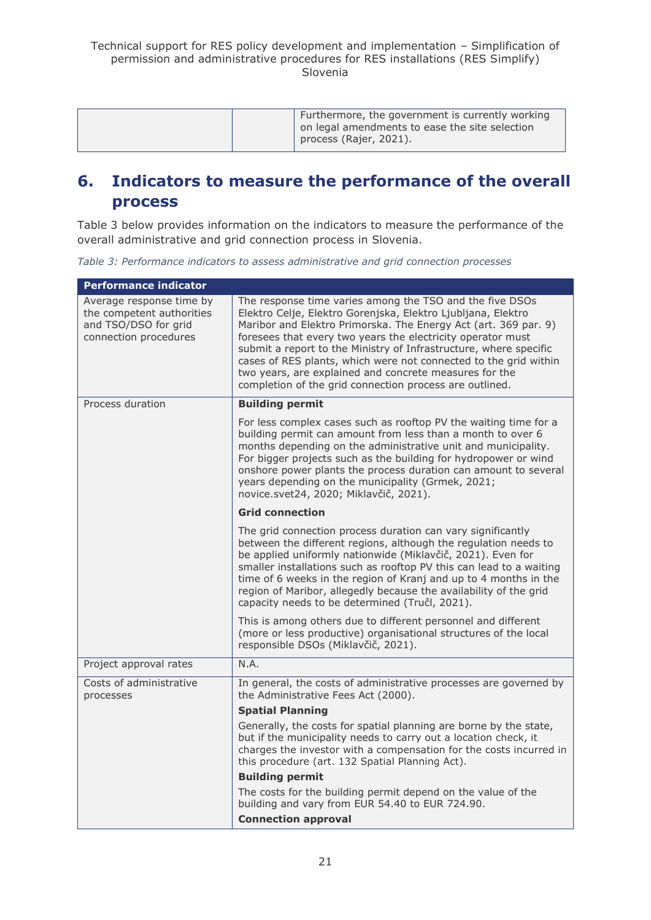|  | Furthermore, the government is currently working<br>on legal amendments to ease the site selection<br>process (Rajer, 2021). |
|--|------------------------------------------------------------------------------------------------------------------------------|
|--|------------------------------------------------------------------------------------------------------------------------------|

## <span id="page-20-0"></span>**6. Indicators to measure the performance of the overall process**

Table 3 below provides information on the indicators to measure the performance of the overall administrative and grid connection process in Slovenia.

*Table 3: Performance indicators to assess administrative and grid connection processes*

| <b>Performance indicator</b>                                                                           |                                                                                                                                                                                                                                                                                                                                                                                                                                                                                                                          |  |  |  |
|--------------------------------------------------------------------------------------------------------|--------------------------------------------------------------------------------------------------------------------------------------------------------------------------------------------------------------------------------------------------------------------------------------------------------------------------------------------------------------------------------------------------------------------------------------------------------------------------------------------------------------------------|--|--|--|
| Average response time by<br>the competent authorities<br>and TSO/DSO for grid<br>connection procedures | The response time varies among the TSO and the five DSOs<br>Elektro Celje, Elektro Gorenjska, Elektro Ljubljana, Elektro<br>Maribor and Elektro Primorska. The Energy Act (art. 369 par. 9)<br>foresees that every two years the electricity operator must<br>submit a report to the Ministry of Infrastructure, where specific<br>cases of RES plants, which were not connected to the grid within<br>two years, are explained and concrete measures for the<br>completion of the grid connection process are outlined. |  |  |  |
| Process duration                                                                                       | <b>Building permit</b>                                                                                                                                                                                                                                                                                                                                                                                                                                                                                                   |  |  |  |
|                                                                                                        | For less complex cases such as rooftop PV the waiting time for a<br>building permit can amount from less than a month to over 6<br>months depending on the administrative unit and municipality.<br>For bigger projects such as the building for hydropower or wind<br>onshore power plants the process duration can amount to several<br>years depending on the municipality (Grmek, 2021;<br>novice.svet24, 2020; Miklavčič, 2021).                                                                                    |  |  |  |
|                                                                                                        | <b>Grid connection</b>                                                                                                                                                                                                                                                                                                                                                                                                                                                                                                   |  |  |  |
|                                                                                                        | The grid connection process duration can vary significantly<br>between the different regions, although the regulation needs to<br>be applied uniformly nationwide (Miklavčič, 2021). Even for<br>smaller installations such as rooftop PV this can lead to a waiting<br>time of 6 weeks in the region of Kranj and up to 4 months in the<br>region of Maribor, allegedly because the availability of the grid<br>capacity needs to be determined (Tručl, 2021).                                                          |  |  |  |
|                                                                                                        | This is among others due to different personnel and different<br>(more or less productive) organisational structures of the local<br>responsible DSOs (Miklavčič, 2021).                                                                                                                                                                                                                                                                                                                                                 |  |  |  |
| Project approval rates                                                                                 | N.A.                                                                                                                                                                                                                                                                                                                                                                                                                                                                                                                     |  |  |  |
| Costs of administrative<br>processes                                                                   | In general, the costs of administrative processes are governed by<br>the Administrative Fees Act (2000).                                                                                                                                                                                                                                                                                                                                                                                                                 |  |  |  |
|                                                                                                        | <b>Spatial Planning</b>                                                                                                                                                                                                                                                                                                                                                                                                                                                                                                  |  |  |  |
|                                                                                                        | Generally, the costs for spatial planning are borne by the state,<br>but if the municipality needs to carry out a location check, it<br>charges the investor with a compensation for the costs incurred in<br>this procedure (art. 132 Spatial Planning Act).                                                                                                                                                                                                                                                            |  |  |  |
|                                                                                                        | <b>Building permit</b>                                                                                                                                                                                                                                                                                                                                                                                                                                                                                                   |  |  |  |
|                                                                                                        | The costs for the building permit depend on the value of the<br>building and vary from EUR 54.40 to EUR 724.90.                                                                                                                                                                                                                                                                                                                                                                                                          |  |  |  |
|                                                                                                        | <b>Connection approval</b>                                                                                                                                                                                                                                                                                                                                                                                                                                                                                               |  |  |  |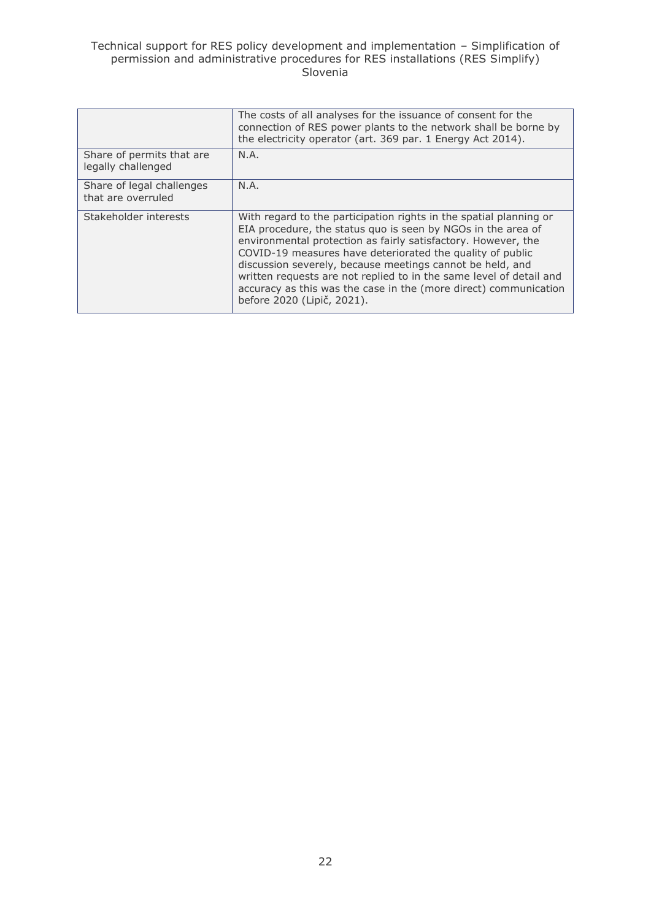#### Technical support for RES policy development and implementation – Simplification of permission and administrative procedures for RES installations (RES Simplify) Slovenia

|                                                 | The costs of all analyses for the issuance of consent for the                                                                                                                                                                                                                                                                                                                                                                                                                                          |
|-------------------------------------------------|--------------------------------------------------------------------------------------------------------------------------------------------------------------------------------------------------------------------------------------------------------------------------------------------------------------------------------------------------------------------------------------------------------------------------------------------------------------------------------------------------------|
|                                                 | connection of RES power plants to the network shall be borne by<br>the electricity operator (art. 369 par. 1 Energy Act 2014).                                                                                                                                                                                                                                                                                                                                                                         |
| Share of permits that are<br>legally challenged | N.A.                                                                                                                                                                                                                                                                                                                                                                                                                                                                                                   |
| Share of legal challenges<br>that are overruled | N.A.                                                                                                                                                                                                                                                                                                                                                                                                                                                                                                   |
| Stakeholder interests                           | With regard to the participation rights in the spatial planning or<br>EIA procedure, the status quo is seen by NGOs in the area of<br>environmental protection as fairly satisfactory. However, the<br>COVID-19 measures have deteriorated the quality of public<br>discussion severely, because meetings cannot be held, and<br>written requests are not replied to in the same level of detail and<br>accuracy as this was the case in the (more direct) communication<br>before 2020 (Lipič, 2021). |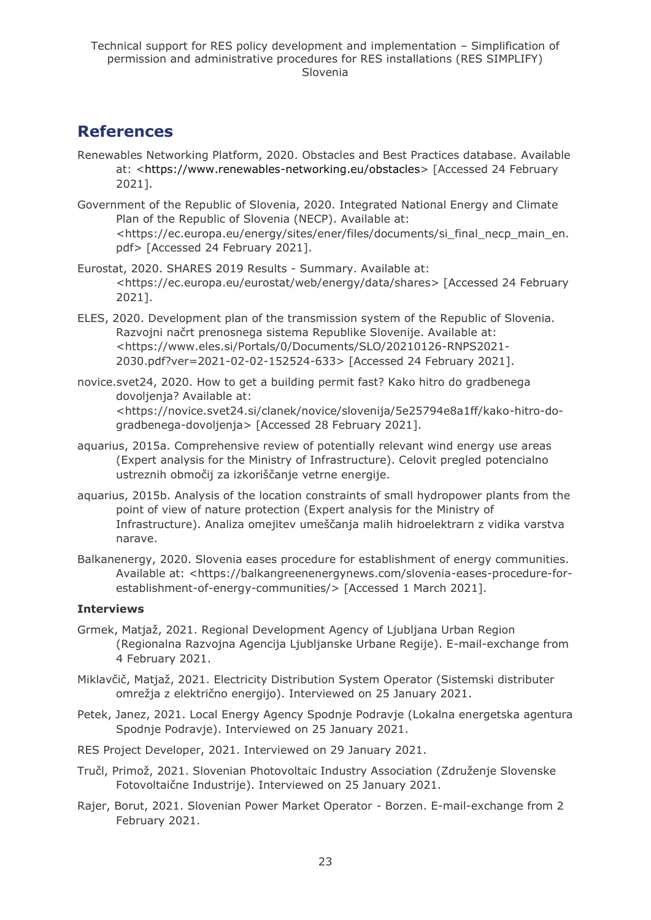## <span id="page-22-0"></span>**References**

- Renewables Networking Platform, 2020. Obstacles and Best Practices database. Available at: [<https://www.renewables-networking.eu/obstacles>](https://www.renewables-networking.eu/obstacles) [Accessed 24 February 2021].
- Government of the Republic of Slovenia, 2020. Integrated National Energy and Climate Plan of the Republic of Slovenia (NECP). Available at: <https://ec.europa.eu/energy/sites/ener/files/documents/si\_final\_necp\_main\_en. pdf> [Accessed 24 February 2021].
- Eurostat, 2020. SHARES 2019 Results Summary. Available at: <https://ec.europa.eu/eurostat/web/energy/data/shares> [Accessed 24 February 2021].
- ELES, 2020. Development plan of the transmission system of the Republic of Slovenia. Razvojni načrt prenosnega sistema Republike Slovenije. Available at: <https://www.eles.si/Portals/0/Documents/SLO/20210126-RNPS2021- 2030.pdf?ver=2021-02-02-152524-633> [Accessed 24 February 2021].
- novice.svet24, 2020. How to get a building permit fast? Kako hitro do gradbenega dovoljenja? Available at: <https://novice.svet24.si/clanek/novice/slovenija/5e25794e8a1ff/kako-hitro-dogradbenega-dovoljenja> [Accessed 28 February 2021].
- aquarius, 2015a. Comprehensive review of potentially relevant wind energy use areas (Expert analysis for the Ministry of Infrastructure). Celovit pregled potencialno ustreznih območij za izkoriščanje vetrne energije.
- aquarius, 2015b. Analysis of the location constraints of small hydropower plants from the point of view of nature protection (Expert analysis for the Ministry of Infrastructure). Analiza omejitev umeščanja malih hidroelektrarn z vidika varstva narave.
- Balkanenergy, 2020. Slovenia eases procedure for establishment of energy communities. Available at: <https://balkangreenenergynews.com/slovenia-eases-procedure-forestablishment-of-energy-communities/> [Accessed 1 March 2021].

### **Interviews**

- Grmek, Matjaž, 2021. Regional Development Agency of Ljubljana Urban Region (Regionalna Razvojna Agencija Ljubljanske Urbane Regije). E-mail-exchange from 4 February 2021.
- Miklavčič, Matjaž, 2021. Electricity Distribution System Operator (Sistemski distributer omrežja z električno energijo). Interviewed on 25 January 2021.
- Petek, Janez, 2021. Local Energy Agency Spodnje Podravje (Lokalna energetska agentura Spodnje Podravje). Interviewed on 25 January 2021.
- RES Project Developer, 2021. Interviewed on 29 January 2021.
- Tručl, Primož, 2021. Slovenian Photovoltaic Industry Association (Združenje Slovenske Fotovoltaične Industrije). Interviewed on 25 January 2021.
- Rajer, Borut, 2021. Slovenian Power Market Operator Borzen. E-mail-exchange from 2 February 2021.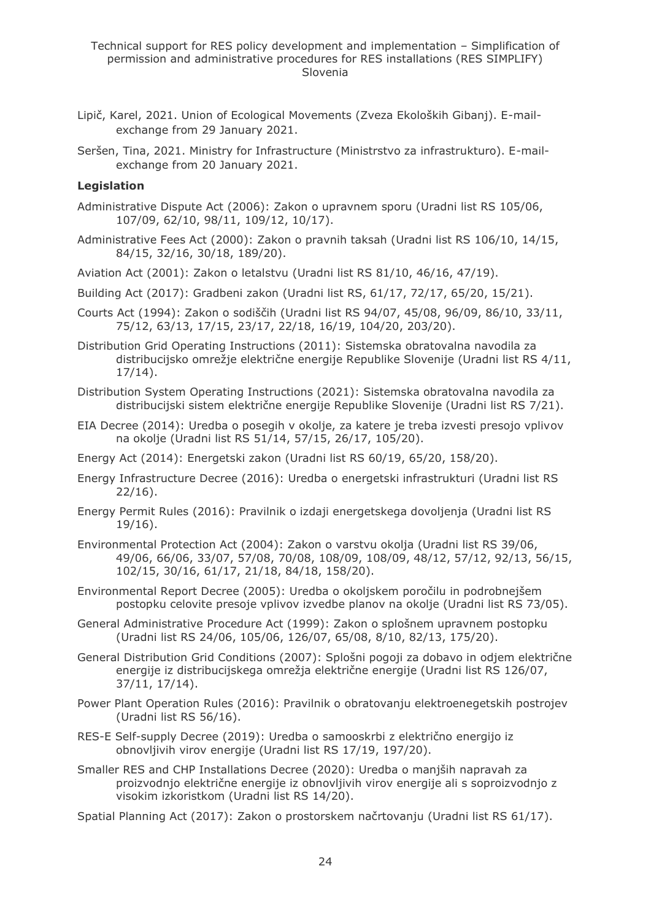- Lipič, Karel, 2021. Union of Ecological Movements (Zveza Ekoloških Gibanj). E-mailexchange from 29 January 2021.
- Seršen, Tina, 2021. Ministry for Infrastructure (Ministrstvo za infrastrukturo). E-mailexchange from 20 January 2021.

#### **Legislation**

- Administrative Dispute Act (2006): Zakon o upravnem sporu (Uradni list RS 105/06, 107/09, 62/10, 98/11, 109/12, 10/17).
- Administrative Fees Act (2000): Zakon o pravnih taksah (Uradni list RS 106/10, 14/15, 84/15, 32/16, 30/18, 189/20).
- Aviation Act (2001): Zakon o letalstvu (Uradni list RS 81/10, 46/16, 47/19).
- Building Act (2017): Gradbeni zakon (Uradni list RS, 61/17, 72/17, 65/20, 15/21).
- Courts Act (1994): Zakon o sodiščih (Uradni list RS 94/07, 45/08, 96/09, 86/10, 33/11, 75/12, 63/13, 17/15, 23/17, 22/18, 16/19, 104/20, 203/20).
- Distribution Grid Operating Instructions (2011): Sistemska obratovalna navodila za distribucijsko omrežje električne energije Republike Slovenije (Uradni list RS 4/11, 17/14).
- Distribution System Operating Instructions (2021): Sistemska obratovalna navodila za distribucijski sistem električne energije Republike Slovenije (Uradni list RS 7/21).
- EIA Decree (2014): Uredba o posegih v okolje, za katere je treba izvesti presojo vplivov na okolje (Uradni list RS 51/14, 57/15, 26/17, 105/20).
- Energy Act (2014): Energetski zakon (Uradni list RS 60/19, 65/20, 158/20).
- Energy Infrastructure Decree (2016): Uredba o energetski infrastrukturi (Uradni list RS 22/16).
- Energy Permit Rules (2016): Pravilnik o izdaji energetskega dovoljenja (Uradni list RS 19/16).
- Environmental Protection Act (2004): Zakon o varstvu okolja (Uradni list RS 39/06, 49/06, 66/06, 33/07, 57/08, 70/08, 108/09, 108/09, 48/12, 57/12, 92/13, 56/15, 102/15, 30/16, 61/17, 21/18, 84/18, 158/20).
- Environmental Report Decree (2005): Uredba o okoljskem poročilu in podrobnejšem postopku celovite presoje vplivov izvedbe planov na okolje (Uradni list RS 73/05).
- General Administrative Procedure Act (1999): Zakon o splošnem upravnem postopku (Uradni list RS 24/06, 105/06, 126/07, 65/08, 8/10, 82/13, 175/20).
- General Distribution Grid Conditions (2007): Splošni pogoji za dobavo in odjem električne energije iz distribucijskega omrežja električne energije (Uradni list RS 126/07, 37/11, 17/14).
- Power Plant Operation Rules (2016): Pravilnik o obratovanju elektroenegetskih postrojev (Uradni list RS 56/16).
- RES-E Self-supply Decree (2019): Uredba o samooskrbi z električno energijo iz obnovljivih virov energije (Uradni list RS 17/19, 197/20).
- Smaller RES and CHP Installations Decree (2020): Uredba o manjših napravah za proizvodnjo električne energije iz obnovljivih virov energije ali s soproizvodnjo z visokim izkoristkom (Uradni list RS 14/20).
- Spatial Planning Act (2017): Zakon o prostorskem načrtovanju (Uradni list RS 61/17).